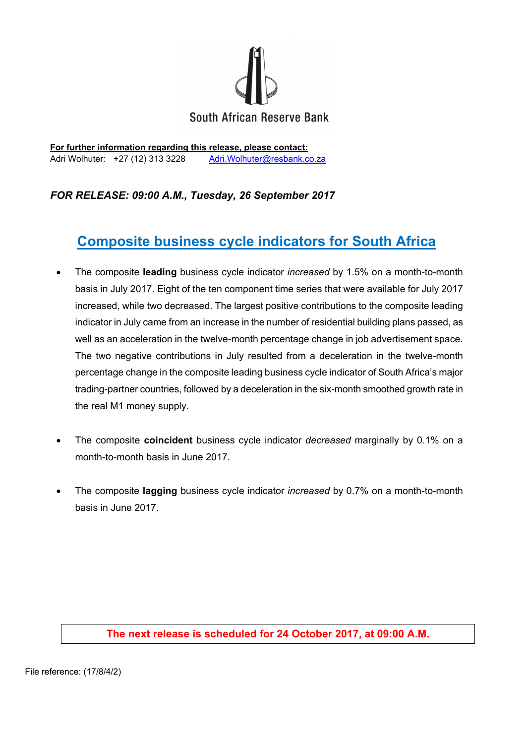

**For further information regarding this release, please contact:**  Adri Wolhuter: +27 (12) 313 3228 Adri. Wolhuter@resbank.co.za

## *FOR RELEASE: 09:00 A.M., Tuesday, 26 September 2017*

# **Composite business cycle indicators for South Africa**

- The composite **leading** business cycle indicator *increased* by 1.5% on a month-to-month basis in July 2017. Eight of the ten component time series that were available for July 2017 increased, while two decreased. The largest positive contributions to the composite leading indicator in July came from an increase in the number of residential building plans passed, as well as an acceleration in the twelve-month percentage change in job advertisement space. The two negative contributions in July resulted from a deceleration in the twelve-month percentage change in the composite leading business cycle indicator of South Africa's major trading-partner countries, followed by a deceleration in the six-month smoothed growth rate in the real M1 money supply.
- The composite **coincident** business cycle indicator *decreased* marginally by 0.1% on a month-to-month basis in June 2017.
- The composite **lagging** business cycle indicator *increased* by 0.7% on a month-to-month basis in June 2017.

### **The next release is scheduled for 24 October 2017, at 09:00 A.M.**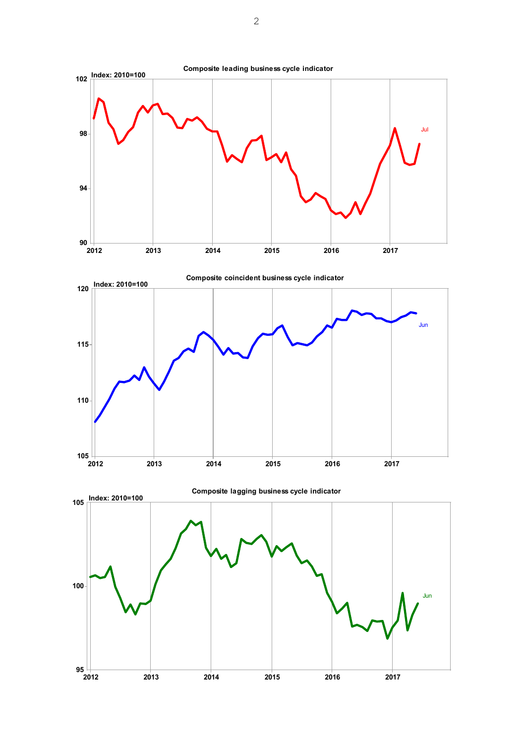